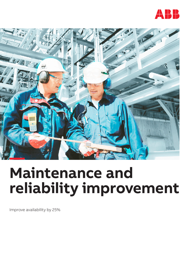



# **Maintenance and reliability improvement**

Improve availability by 25%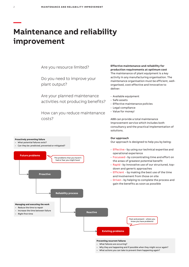## **Maintenance and reliability improvement**

Are you resource limited?

Do you need to improve your plant output?

Are your planned maintenance activities not producing benefits?

How can you reduce maintenance costs?

#### **Proactively preventing failure**

- What potential failures exist?
- Can they be: predicted, prevented or mitigated?



### **Effective maintenance and reliability for production requirements at optimum cost**

The maintenance of plant equipment is a key activity in any manufacturing organisation. The maintenance organisation must be efficient, wellorganised, cost-effective and innovative to deliver:

- Available equipment
- Safe assets
- Effective maintenance policies
- Legal compliance
- Value for money!

ABB can provide a total maintenance improvement service which includes both consultancy and the practical implementation of solutions.

#### **Our approach**

Our approach is designed to help you by being:

- Effective by using our technical expertise and operational experience
- Focussed by concentrating time and effort on the areas of greatest potential benefit
- Rapid by innovative use of our structured, topdown and generic approaches
- Efficient by making the best use of the time and involvement from those on site
- Driven by helping to complete the process and gain the benefits as soon as possible



- What failures are occurring?
- Why they are happening and if possible when they might occur again?
- What actions you can take to prevent them happening again?

**—**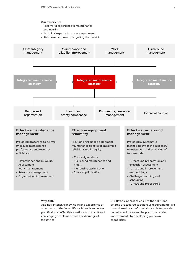#### **Our experience**

- Real world experience in maintenance engineering
- Technical experts in process equipment
- Risk based approach, targeting the benefit



#### **Why ABB?**

ABB has extensive knowledge and experience of all aspects of the 'asset life cycle' and can deliver practical, cost effective solutions to difficult and challenging problems across a wide range of industries.

Our flexible approach ensures the solutions offered are tailored to suit your requirements. We have a broad team of specialists able to provide technical solutions and help you to sustain improvements by developing your own capabilities.